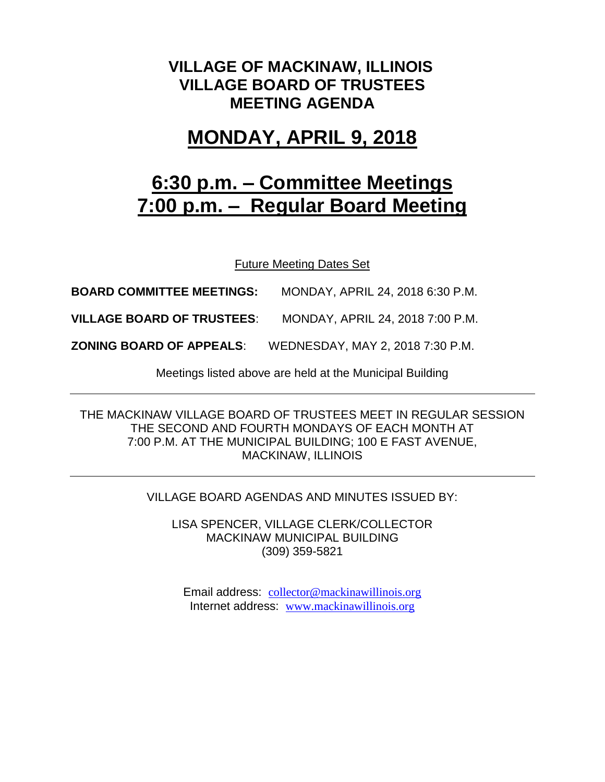## **VILLAGE OF MACKINAW, ILLINOIS VILLAGE BOARD OF TRUSTEES MEETING AGENDA**

## **MONDAY, APRIL 9, 2018**

# **6:30 p.m. – Committee Meetings 7:00 p.m. – Regular Board Meeting**

Future Meeting Dates Set

**BOARD COMMITTEE MEETINGS:** MONDAY, APRIL 24, 2018 6:30 P.M.

**VILLAGE BOARD OF TRUSTEES**: MONDAY, APRIL 24, 2018 7:00 P.M.

**ZONING BOARD OF APPEALS**: WEDNESDAY, MAY 2, 2018 7:30 P.M.

Meetings listed above are held at the Municipal Building

THE MACKINAW VILLAGE BOARD OF TRUSTEES MEET IN REGULAR SESSION THE SECOND AND FOURTH MONDAYS OF EACH MONTH AT 7:00 P.M. AT THE MUNICIPAL BUILDING; 100 E FAST AVENUE, MACKINAW, ILLINOIS

#### VILLAGE BOARD AGENDAS AND MINUTES ISSUED BY:

LISA SPENCER, VILLAGE CLERK/COLLECTOR MACKINAW MUNICIPAL BUILDING (309) 359-5821

Email address: [collector@mackinawillinois.org](mailto:collector@mackinawillinois.org) Internet address: [www.mackinawillinois.org](http://www.mackinawillinois.org/)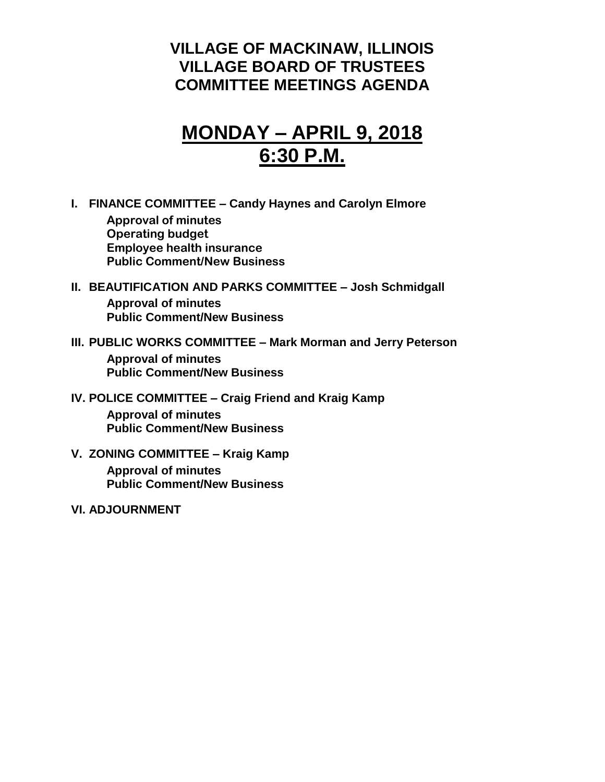### **VILLAGE OF MACKINAW, ILLINOIS VILLAGE BOARD OF TRUSTEES COMMITTEE MEETINGS AGENDA**

# **MONDAY – APRIL 9, 2018 6:30 P.M.**

**I. FINANCE COMMITTEE – Candy Haynes and Carolyn Elmore**

**Approval of minutes Operating budget Employee health insurance Public Comment/New Business**

#### **II. BEAUTIFICATION AND PARKS COMMITTEE – Josh Schmidgall Approval of minutes Public Comment/New Business**

### **III. PUBLIC WORKS COMMITTEE – Mark Morman and Jerry Peterson**

**Approval of minutes Public Comment/New Business**

#### **IV. POLICE COMMITTEE – Craig Friend and Kraig Kamp**

**Approval of minutes Public Comment/New Business**

### **V. ZONING COMMITTEE – Kraig Kamp**

**Approval of minutes Public Comment/New Business**

#### **VI. ADJOURNMENT**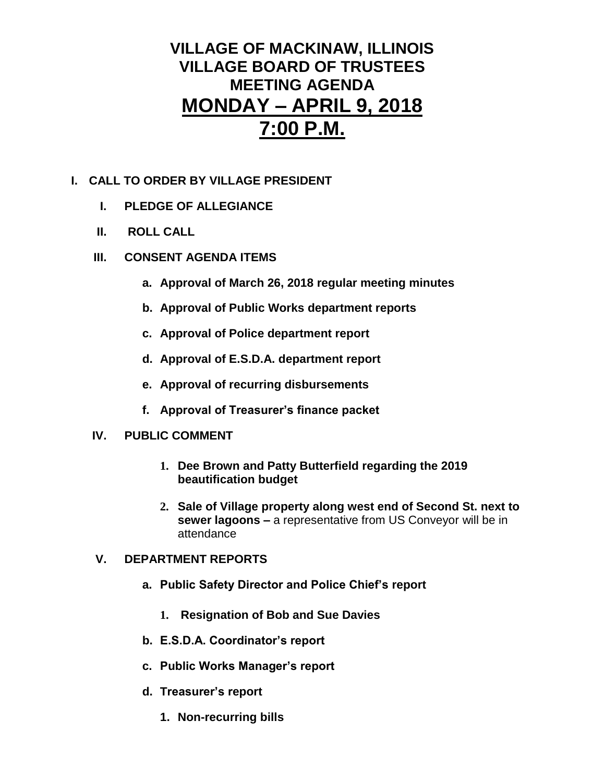## **VILLAGE OF MACKINAW, ILLINOIS VILLAGE BOARD OF TRUSTEES MEETING AGENDA MONDAY – APRIL 9, 2018 7:00 P.M.**

#### **I. CALL TO ORDER BY VILLAGE PRESIDENT**

- **I. PLEDGE OF ALLEGIANCE**
- **II. ROLL CALL**
- **III. CONSENT AGENDA ITEMS** 
	- **a. Approval of March 26, 2018 regular meeting minutes**
	- **b. Approval of Public Works department reports**
	- **c. Approval of Police department report**
	- **d. Approval of E.S.D.A. department report**
	- **e. Approval of recurring disbursements**
	- **f. Approval of Treasurer's finance packet**

#### **IV. PUBLIC COMMENT**

- **1. Dee Brown and Patty Butterfield regarding the 2019 beautification budget**
- **2. Sale of Village property along west end of Second St. next to sewer lagoons –** a representative from US Conveyor will be in attendance

#### **V. DEPARTMENT REPORTS**

- **a. Public Safety Director and Police Chief's report**
	- **1. Resignation of Bob and Sue Davies**
- **b. E.S.D.A. Coordinator's report**
- **c. Public Works Manager's report**
- **d. Treasurer's report**
	- **1. Non-recurring bills**